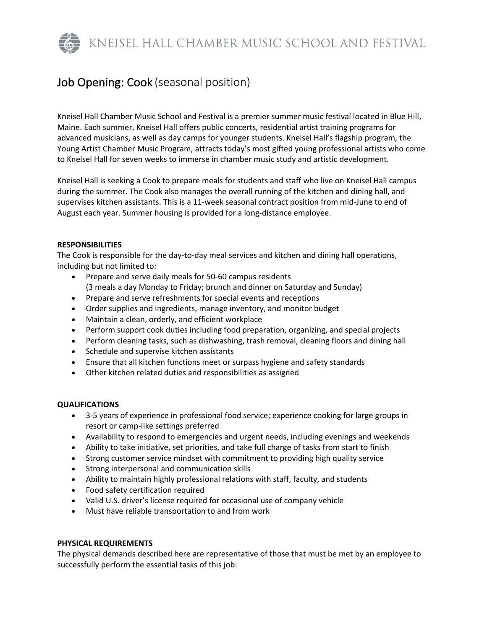KNEISEL HALL CHAMBER MUSIC SCHOOL AND FESTIVAL

# Job Opening: Cook (seasonal position)

Kneisel Hall Chamber Music School and Festival is a premier summer music festival located in Blue Hill, Maine. Each summer, Kneisel Hall offers public concerts, residential artist training programs for advanced musicians, as well as day camps for younger students. Kneisel Hall's flagship program, the Young Artist Chamber Music Program, attracts today's most gifted young professional artists who come to Kneisel Hall for seven weeks to immerse in chamber music study and artistic development.

Kneisel Hall is seeking a Cook to prepare meals for students and staff who live on Kneisel Hall campus during the summer. The Cook also manages the overall running of the kitchen and dining hall, and supervises kitchen assistants. This is a 11-week seasonal contract position from mid-June to end of August each year. Summer housing is provided for a long-distance employee.

## **RESPONSIBILITIES**

The Cook is responsible for the day-to-day meal services and kitchen and dining hall operations, including but not limited to:

- Prepare and serve daily meals for 50-60 campus residents (3 meals a day Monday to Friday; brunch and dinner on Saturday and Sunday)
- Prepare and serve refreshments for special events and receptions
- Order supplies and ingredients, manage inventory, and monitor budget
- Maintain a clean, orderly, and efficient workplace
- Perform support cook duties including food preparation, organizing, and special projects
- Perform cleaning tasks, such as dishwashing, trash removal, cleaning floors and dining hall
- Schedule and supervise kitchen assistants
- Ensure that all kitchen functions meet or surpass hygiene and safety standards
- Other kitchen related duties and responsibilities as assigned

## **QUALIFICATIONS**

- 3-5 years of experience in professional food service; experience cooking for large groups in resort or camp-like settings preferred
- Availability to respond to emergencies and urgent needs, including evenings and weekends
- Ability to take initiative, set priorities, and take full charge of tasks from start to finish
- Strong customer service mindset with commitment to providing high quality service
- Strong interpersonal and communication skills
- Ability to maintain highly professional relations with staff, faculty, and students
- Food safety certification required
- Valid U.S. driver's license required for occasional use of company vehicle
- Must have reliable transportation to and from work

## **PHYSICAL REQUIREMENTS**

The physical demands described here are representative of those that must be met by an employee to successfully perform the essential tasks of this job: